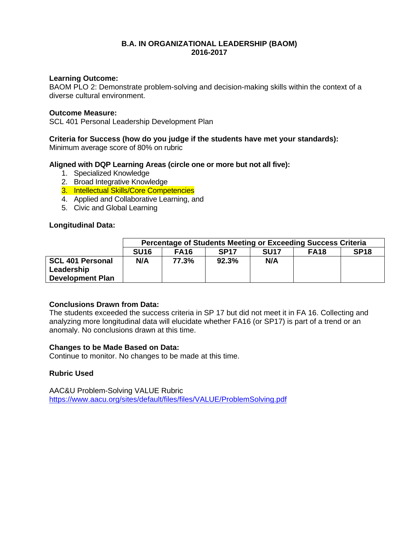## **B.A. IN ORGANIZATIONAL LEADERSHIP (BAOM) 2016-2017**

## **Learning Outcome:**

BAOM PLO 2: Demonstrate problem-solving and decision-making skills within the context of a diverse cultural environment.

## **Outcome Measure:**

SCL 401 Personal Leadership Development Plan

## **Criteria for Success (how do you judge if the students have met your standards):**

Minimum average score of 80% on rubric

## **Aligned with DQP Learning Areas (circle one or more but not all five):**

- 1. Specialized Knowledge
- 2. Broad Integrative Knowledge
- 3. Intellectual Skills/Core Competencies
- 4. Applied and Collaborative Learning, and
- 5. Civic and Global Learning

## **Longitudinal Data:**

|                                                                  | Percentage of Students Meeting or Exceeding Success Criteria |             |             |             |                  |             |  |  |  |
|------------------------------------------------------------------|--------------------------------------------------------------|-------------|-------------|-------------|------------------|-------------|--|--|--|
|                                                                  | SU <sub>16</sub>                                             | <b>FA16</b> | <b>SP17</b> | <b>SU17</b> | FA <sub>18</sub> | <b>SP18</b> |  |  |  |
| <b>SCL 401 Personal</b><br>Leadership<br><b>Development Plan</b> | N/A                                                          | 77.3%       | 92.3%       | N/A         |                  |             |  |  |  |

## **Conclusions Drawn from Data:**

The students exceeded the success criteria in SP 17 but did not meet it in FA 16. Collecting and analyzing more longitudinal data will elucidate whether FA16 (or SP17) is part of a trend or an anomaly. No conclusions drawn at this time.

## **Changes to be Made Based on Data:**

Continue to monitor. No changes to be made at this time.

# **Rubric Used**

AAC&U Problem-Solving VALUE Rubric <https://www.aacu.org/sites/default/files/files/VALUE/ProblemSolving.pdf>